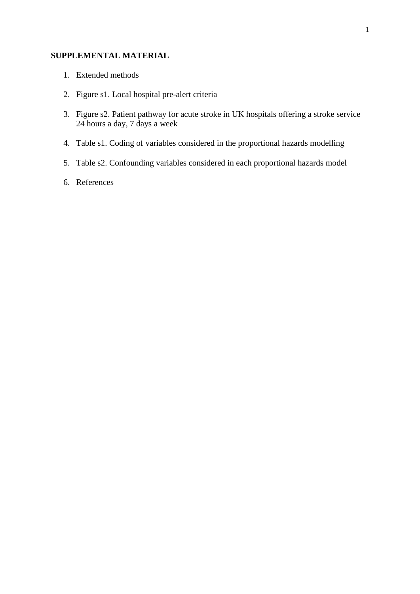# **SUPPLEMENTAL MATERIAL**

- 1. Extended methods
- 2. Figure s1. Local hospital pre-alert criteria
- 3. Figure s2. Patient pathway for acute stroke in UK hospitals offering a stroke service 24 hours a day, 7 days a week
- 4. Table s1. Coding of variables considered in the proportional hazards modelling
- 5. Table s2. Confounding variables considered in each proportional hazards model
- 6. References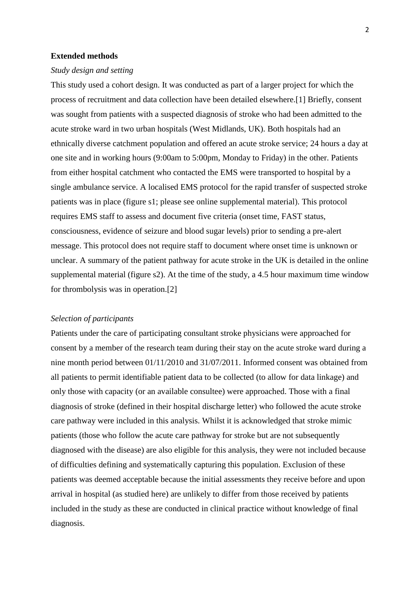### **Extended methods**

### *Study design and setting*

This study used a cohort design. It was conducted as part of a larger project for which the process of recruitment and data collection have been detailed elsewhere.[1] Briefly, consent was sought from patients with a suspected diagnosis of stroke who had been admitted to the acute stroke ward in two urban hospitals (West Midlands, UK). Both hospitals had an ethnically diverse catchment population and offered an acute stroke service; 24 hours a day at one site and in working hours (9:00am to 5:00pm, Monday to Friday) in the other. Patients from either hospital catchment who contacted the EMS were transported to hospital by a single ambulance service. A localised EMS protocol for the rapid transfer of suspected stroke patients was in place (figure s1; please see online supplemental material). This protocol requires EMS staff to assess and document five criteria (onset time, FAST status, consciousness, evidence of seizure and blood sugar levels) prior to sending a pre-alert message. This protocol does not require staff to document where onset time is unknown or unclear. A summary of the patient pathway for acute stroke in the UK is detailed in the online supplemental material (figure s2). At the time of the study, a 4.5 hour maximum time window for thrombolysis was in operation.[2]

#### *Selection of participants*

Patients under the care of participating consultant stroke physicians were approached for consent by a member of the research team during their stay on the acute stroke ward during a nine month period between 01/11/2010 and 31/07/2011. Informed consent was obtained from all patients to permit identifiable patient data to be collected (to allow for data linkage) and only those with capacity (or an available consultee) were approached. Those with a final diagnosis of stroke (defined in their hospital discharge letter) who followed the acute stroke care pathway were included in this analysis. Whilst it is acknowledged that stroke mimic patients (those who follow the acute care pathway for stroke but are not subsequently diagnosed with the disease) are also eligible for this analysis, they were not included because of difficulties defining and systematically capturing this population. Exclusion of these patients was deemed acceptable because the initial assessments they receive before and upon arrival in hospital (as studied here) are unlikely to differ from those received by patients included in the study as these are conducted in clinical practice without knowledge of final diagnosis.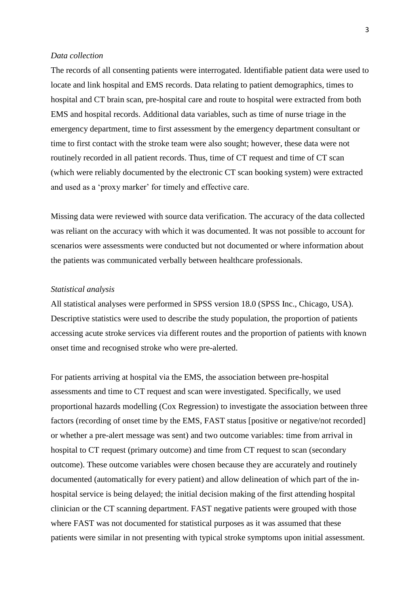#### *Data collection*

The records of all consenting patients were interrogated. Identifiable patient data were used to locate and link hospital and EMS records. Data relating to patient demographics, times to hospital and CT brain scan, pre-hospital care and route to hospital were extracted from both EMS and hospital records. Additional data variables, such as time of nurse triage in the emergency department, time to first assessment by the emergency department consultant or time to first contact with the stroke team were also sought; however, these data were not routinely recorded in all patient records. Thus, time of CT request and time of CT scan (which were reliably documented by the electronic CT scan booking system) were extracted and used as a 'proxy marker' for timely and effective care.

Missing data were reviewed with source data verification. The accuracy of the data collected was reliant on the accuracy with which it was documented. It was not possible to account for scenarios were assessments were conducted but not documented or where information about the patients was communicated verbally between healthcare professionals.

## *Statistical analysis*

All statistical analyses were performed in SPSS version 18.0 (SPSS Inc., Chicago, USA). Descriptive statistics were used to describe the study population, the proportion of patients accessing acute stroke services via different routes and the proportion of patients with known onset time and recognised stroke who were pre-alerted.

For patients arriving at hospital via the EMS, the association between pre-hospital assessments and time to CT request and scan were investigated. Specifically, we used proportional hazards modelling (Cox Regression) to investigate the association between three factors (recording of onset time by the EMS, FAST status [positive or negative/not recorded] or whether a pre-alert message was sent) and two outcome variables: time from arrival in hospital to CT request (primary outcome) and time from CT request to scan (secondary outcome). These outcome variables were chosen because they are accurately and routinely documented (automatically for every patient) and allow delineation of which part of the inhospital service is being delayed; the initial decision making of the first attending hospital clinician or the CT scanning department. FAST negative patients were grouped with those where FAST was not documented for statistical purposes as it was assumed that these patients were similar in not presenting with typical stroke symptoms upon initial assessment.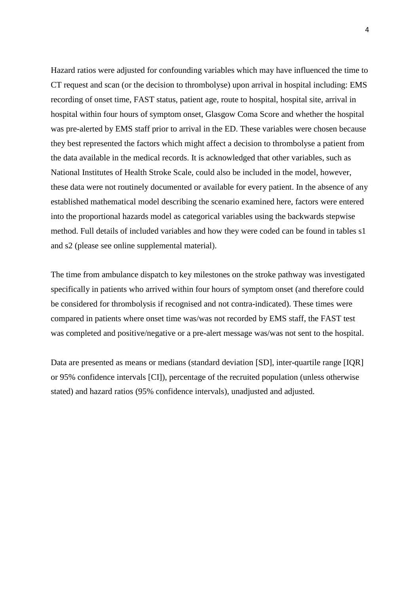Hazard ratios were adjusted for confounding variables which may have influenced the time to CT request and scan (or the decision to thrombolyse) upon arrival in hospital including: EMS recording of onset time, FAST status, patient age, route to hospital, hospital site, arrival in hospital within four hours of symptom onset, Glasgow Coma Score and whether the hospital was pre-alerted by EMS staff prior to arrival in the ED. These variables were chosen because they best represented the factors which might affect a decision to thrombolyse a patient from the data available in the medical records. It is acknowledged that other variables, such as National Institutes of Health Stroke Scale, could also be included in the model, however, these data were not routinely documented or available for every patient. In the absence of any established mathematical model describing the scenario examined here, factors were entered into the proportional hazards model as categorical variables using the backwards stepwise method. Full details of included variables and how they were coded can be found in tables s1 and s2 (please see online supplemental material).

The time from ambulance dispatch to key milestones on the stroke pathway was investigated specifically in patients who arrived within four hours of symptom onset (and therefore could be considered for thrombolysis if recognised and not contra-indicated). These times were compared in patients where onset time was/was not recorded by EMS staff, the FAST test was completed and positive/negative or a pre-alert message was/was not sent to the hospital.

Data are presented as means or medians (standard deviation [SD], inter-quartile range [IQR] or 95% confidence intervals [CI]), percentage of the recruited population (unless otherwise stated) and hazard ratios (95% confidence intervals), unadjusted and adjusted.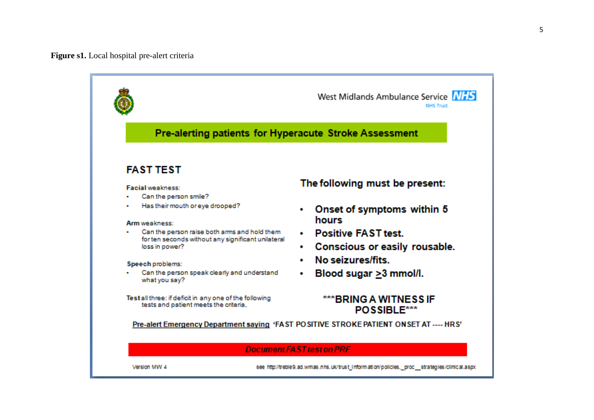**Figure s1.** Local hospital pre -alert criteria



Version MW 4

see http://treble9.ad.wmas.nhs.uk/trust\_information/policies, proc\_strategies/clinical.aspx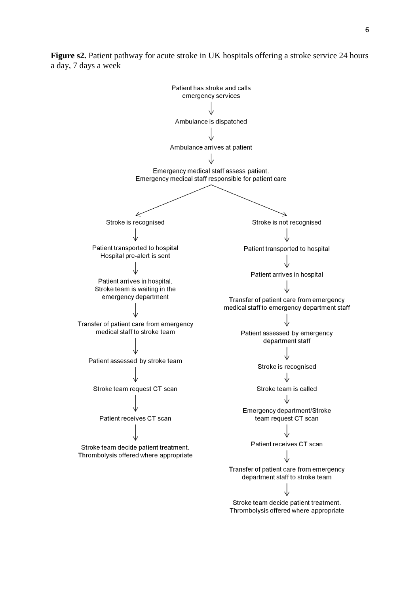

**Figure s2.** Patient pathway for acute stroke in UK hospitals offering a stroke service 24 hours a day, 7 days a week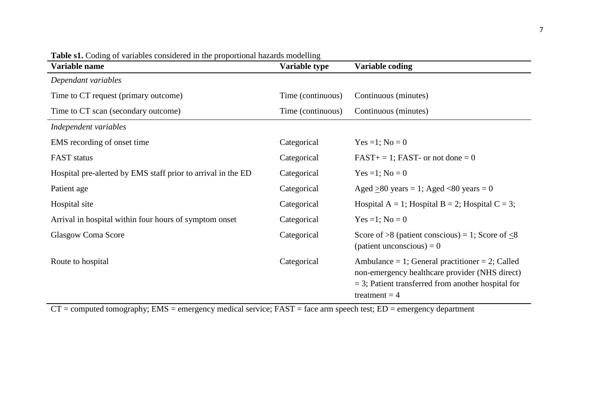| Variable name                                                | Variable type     | Variable coding                                                                                                                                                              |
|--------------------------------------------------------------|-------------------|------------------------------------------------------------------------------------------------------------------------------------------------------------------------------|
| Dependant variables                                          |                   |                                                                                                                                                                              |
| Time to CT request (primary outcome)                         | Time (continuous) | Continuous (minutes)                                                                                                                                                         |
| Time to CT scan (secondary outcome)                          | Time (continuous) | Continuous (minutes)                                                                                                                                                         |
| Independent variables                                        |                   |                                                                                                                                                                              |
| EMS recording of onset time                                  | Categorical       | $Yes = 1; No = 0$                                                                                                                                                            |
| <b>FAST</b> status                                           | Categorical       | $FAST+ = 1$ ; FAST- or not done = 0                                                                                                                                          |
| Hospital pre-alerted by EMS staff prior to arrival in the ED | Categorical       | $Yes = 1; No = 0$                                                                                                                                                            |
| Patient age                                                  | Categorical       | Aged $\geq 80$ years = 1; Aged <80 years = 0                                                                                                                                 |
| Hospital site                                                | Categorical       | Hospital A = 1; Hospital B = 2; Hospital C = 3;                                                                                                                              |
| Arrival in hospital within four hours of symptom onset       | Categorical       | $Yes = 1; No = 0$                                                                                                                                                            |
| Glasgow Coma Score                                           | Categorical       | Score of $>8$ (patient conscious) = 1; Score of $<8$<br>(patient unconscious) = $0$                                                                                          |
| Route to hospital                                            | Categorical       | Ambulance = 1; General practitioner = 2; Called<br>non-emergency healthcare provider (NHS direct)<br>$=$ 3; Patient transferred from another hospital for<br>treatment $=$ 4 |

Table s1. Coding of variables considered in the proportional hazards modelling

 $CT = computed tomography$ ;  $EMS = emergency medical service$ ;  $FAST = face arm speech test$ ;  $ED = emergency department$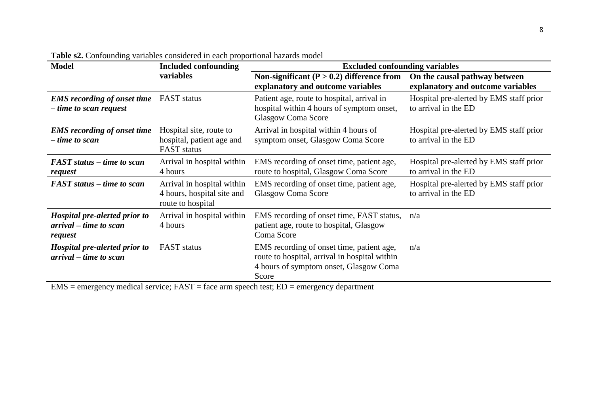| <b>Model</b>                                                       | <b>Included confounding</b>                                                   | <b>Excluded confounding variables</b>                                                                                                         |                                                                    |  |
|--------------------------------------------------------------------|-------------------------------------------------------------------------------|-----------------------------------------------------------------------------------------------------------------------------------------------|--------------------------------------------------------------------|--|
|                                                                    | variables                                                                     | Non-significant ( $P > 0.2$ ) difference from<br>explanatory and outcome variables                                                            | On the causal pathway between<br>explanatory and outcome variables |  |
| <b>EMS</b> recording of onset time<br>$-$ time to scan request     | <b>FAST</b> status                                                            | Patient age, route to hospital, arrival in<br>hospital within 4 hours of symptom onset,<br><b>Glasgow Coma Score</b>                          | Hospital pre-alerted by EMS staff prior<br>to arrival in the ED    |  |
| <b>EMS</b> recording of onset time<br>$-time to scan$              | Hospital site, route to<br>hospital, patient age and<br><b>FAST</b> status    | Arrival in hospital within 4 hours of<br>symptom onset, Glasgow Coma Score                                                                    | Hospital pre-alerted by EMS staff prior<br>to arrival in the ED    |  |
| FAST status – time to scan<br>request                              | Arrival in hospital within<br>4 hours                                         | EMS recording of onset time, patient age,<br>route to hospital, Glasgow Coma Score                                                            | Hospital pre-alerted by EMS staff prior<br>to arrival in the ED    |  |
| FAST status – time to scan                                         | Arrival in hospital within<br>4 hours, hospital site and<br>route to hospital | EMS recording of onset time, patient age,<br><b>Glasgow Coma Score</b>                                                                        | Hospital pre-alerted by EMS staff prior<br>to arrival in the ED    |  |
| Hospital pre-alerted prior to<br>arrival – time to scan<br>request | Arrival in hospital within<br>4 hours                                         | EMS recording of onset time, FAST status,<br>patient age, route to hospital, Glasgow<br>Coma Score                                            | n/a                                                                |  |
| Hospital pre-alerted prior to<br>arrival – time to scan            | <b>FAST</b> status                                                            | EMS recording of onset time, patient age,<br>route to hospital, arrival in hospital within<br>4 hours of symptom onset, Glasgow Coma<br>Score | n/a                                                                |  |

**Table s2.** Confounding variables considered in each proportional hazards model

 $EMS =$  emergency medical service;  $FAST =$  face arm speech test;  $ED =$  emergency department